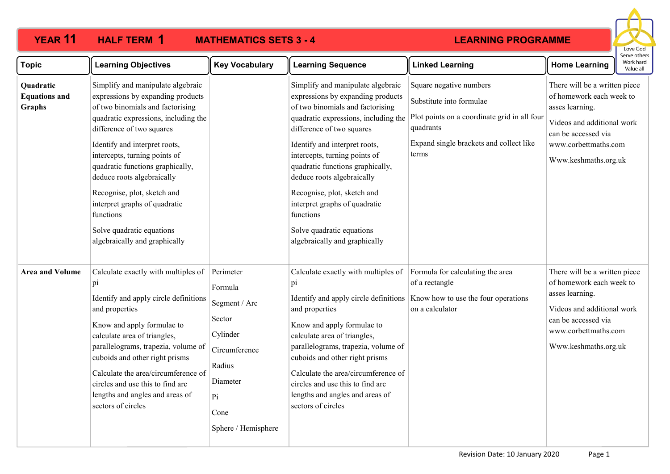# **LEARNING PROGRAMME**



| <b>Topic</b>                                       | <b>Learning Objectives</b>                                                                                                                                                                                                                                                                                                                                                                                                                                     | <b>Key Vocabulary</b>                                                                                                                   | <b>Learning Sequence</b>                                                                                                                                                                                                                                                                                                                                                                                                                                       | <b>Linked Learning</b>                                                                                                                                               | <b>Home Learning</b>                                                                                                                                                              | כו עכ טנווכו:<br>Work hard<br>Value all |
|----------------------------------------------------|----------------------------------------------------------------------------------------------------------------------------------------------------------------------------------------------------------------------------------------------------------------------------------------------------------------------------------------------------------------------------------------------------------------------------------------------------------------|-----------------------------------------------------------------------------------------------------------------------------------------|----------------------------------------------------------------------------------------------------------------------------------------------------------------------------------------------------------------------------------------------------------------------------------------------------------------------------------------------------------------------------------------------------------------------------------------------------------------|----------------------------------------------------------------------------------------------------------------------------------------------------------------------|-----------------------------------------------------------------------------------------------------------------------------------------------------------------------------------|-----------------------------------------|
| Quadratic<br><b>Equations and</b><br><b>Graphs</b> | Simplify and manipulate algebraic<br>expressions by expanding products<br>of two binomials and factorising<br>quadratic expressions, including the<br>difference of two squares<br>Identify and interpret roots,<br>intercepts, turning points of<br>quadratic functions graphically,<br>deduce roots algebraically<br>Recognise, plot, sketch and<br>interpret graphs of quadratic<br>functions<br>Solve quadratic equations<br>algebraically and graphically |                                                                                                                                         | Simplify and manipulate algebraic<br>expressions by expanding products<br>of two binomials and factorising<br>quadratic expressions, including the<br>difference of two squares<br>Identify and interpret roots,<br>intercepts, turning points of<br>quadratic functions graphically,<br>deduce roots algebraically<br>Recognise, plot, sketch and<br>interpret graphs of quadratic<br>functions<br>Solve quadratic equations<br>algebraically and graphically | Square negative numbers<br>Substitute into formulae<br>Plot points on a coordinate grid in all four<br>quadrants<br>Expand single brackets and collect like<br>terms | There will be a written piece<br>of homework each week to<br>asses learning.<br>Videos and additional work<br>can be accessed via<br>www.corbettmaths.com<br>Www.keshmaths.org.uk |                                         |
| <b>Area and Volume</b>                             | Calculate exactly with multiples of<br>pi<br>Identify and apply circle definitions<br>and properties<br>Know and apply formulae to<br>calculate area of triangles,<br>parallelograms, trapezia, volume of<br>cuboids and other right prisms<br>Calculate the area/circumference of<br>circles and use this to find arc<br>lengths and angles and areas of<br>sectors of circles                                                                                | Perimeter<br>Formula<br>Segment / Arc<br>Sector<br>Cylinder<br>Circumference<br>Radius<br>Diameter<br>Pi<br>Cone<br>Sphere / Hemisphere | Calculate exactly with multiples of<br>pi<br>and properties<br>Know and apply formulae to<br>calculate area of triangles,<br>parallelograms, trapezia, volume of<br>cuboids and other right prisms<br>Calculate the area/circumference of<br>circles and use this to find arc<br>lengths and angles and areas of<br>sectors of circles                                                                                                                         | Formula for calculating the area<br>of a rectangle<br>Identify and apply circle definitions   Know how to use the four operations<br>on a calculator                 | There will be a written piece<br>of homework each week to<br>asses learning.<br>Videos and additional work<br>can be accessed via<br>www.corbettmaths.com<br>Www.keshmaths.org.uk |                                         |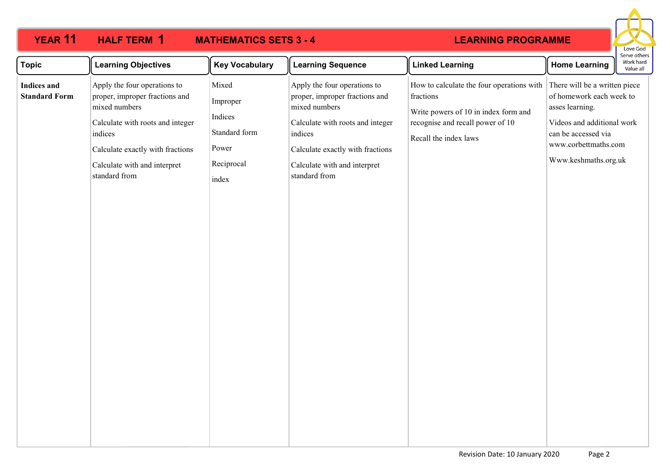### **YEAR 11 HALF TERM MATHEMATICS SETS 3 - 4 HAIFTERM 1 LEARNING PROGRAMME** Love God Serve others **Topic Learning Objectives Key Vocabulary Learning Sequence Linked Learning Home Learning** Work hard Value all Apply the four operations to How to calculate the four operations with There will be a written piece Mixed Apply the four operations to **Indices and Standard Form** proper, improper fractions and proper, improper fractions and fractions of homework each week to Improper mixed numbers mixed numbers asses learning. Write powers of 10 in index form and Indices Videos and additional work Calculate with roots and integer Calculate with roots and integer recognise and recall power of 10 Standard form indices indices can be accessed via Recall the index laws www.corbettmaths.com Power Calculate exactly with fractions Calculate exactly with fractions Www.keshmaths.org.uk Reciprocal Calculate with and interpret Calculate with and interpret standard from standard from index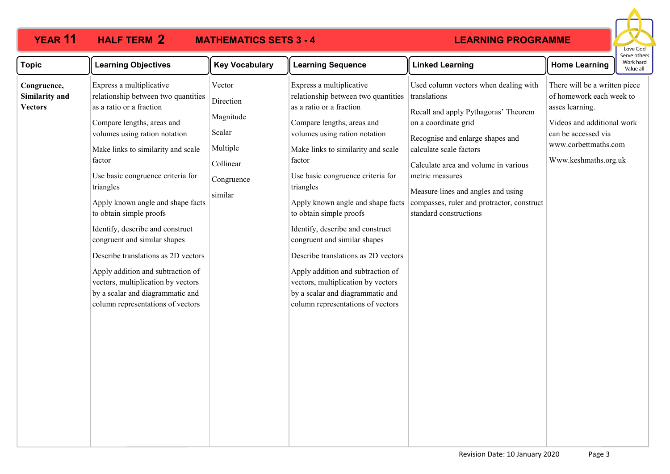#### **YEAR 11 HALF TERM MATHEMATICS SETS 3 - 4 HALF TERM 2**

## **LEARNING PROGRAMME**



| <b>Topic</b>                                    | <b>Learning Objectives</b>                                                                                                                                                                                                                                                                                                                                                                                                                                                                                                                                                                  | <b>Key Vocabulary</b>                                                                        | <b>Learning Sequence</b>                                                                                                                                                                                                                                                                                                                                                                                                                                                                                                                                                                    | <b>Linked Learning</b>                                                                                                                                                                                                                                                                                                                                        | <b>Home Learning</b>                                                                                                                                                              | serve others<br>Work hard<br>Value all |
|-------------------------------------------------|---------------------------------------------------------------------------------------------------------------------------------------------------------------------------------------------------------------------------------------------------------------------------------------------------------------------------------------------------------------------------------------------------------------------------------------------------------------------------------------------------------------------------------------------------------------------------------------------|----------------------------------------------------------------------------------------------|---------------------------------------------------------------------------------------------------------------------------------------------------------------------------------------------------------------------------------------------------------------------------------------------------------------------------------------------------------------------------------------------------------------------------------------------------------------------------------------------------------------------------------------------------------------------------------------------|---------------------------------------------------------------------------------------------------------------------------------------------------------------------------------------------------------------------------------------------------------------------------------------------------------------------------------------------------------------|-----------------------------------------------------------------------------------------------------------------------------------------------------------------------------------|----------------------------------------|
| Congruence,<br>Similarity and<br><b>Vectors</b> | Express a multiplicative<br>relationship between two quantities<br>as a ratio or a fraction<br>Compare lengths, areas and<br>volumes using ration notation<br>Make links to similarity and scale<br>factor<br>Use basic congruence criteria for<br>triangles<br>Apply known angle and shape facts<br>to obtain simple proofs<br>Identify, describe and construct<br>congruent and similar shapes<br>Describe translations as 2D vectors<br>Apply addition and subtraction of<br>vectors, multiplication by vectors<br>by a scalar and diagrammatic and<br>column representations of vectors | Vector<br>Direction<br>Magnitude<br>Scalar<br>Multiple<br>Collinear<br>Congruence<br>similar | Express a multiplicative<br>relationship between two quantities<br>as a ratio or a fraction<br>Compare lengths, areas and<br>volumes using ration notation<br>Make links to similarity and scale<br>factor<br>Use basic congruence criteria for<br>triangles<br>Apply known angle and shape facts<br>to obtain simple proofs<br>Identify, describe and construct<br>congruent and similar shapes<br>Describe translations as 2D vectors<br>Apply addition and subtraction of<br>vectors, multiplication by vectors<br>by a scalar and diagrammatic and<br>column representations of vectors | Used column vectors when dealing with<br>translations<br>Recall and apply Pythagoras' Theorem<br>on a coordinate grid<br>Recognise and enlarge shapes and<br>calculate scale factors<br>Calculate area and volume in various<br>metric measures<br>Measure lines and angles and using<br>compasses, ruler and protractor, construct<br>standard constructions | There will be a written piece<br>of homework each week to<br>asses learning.<br>Videos and additional work<br>can be accessed via<br>www.corbettmaths.com<br>Www.keshmaths.org.uk |                                        |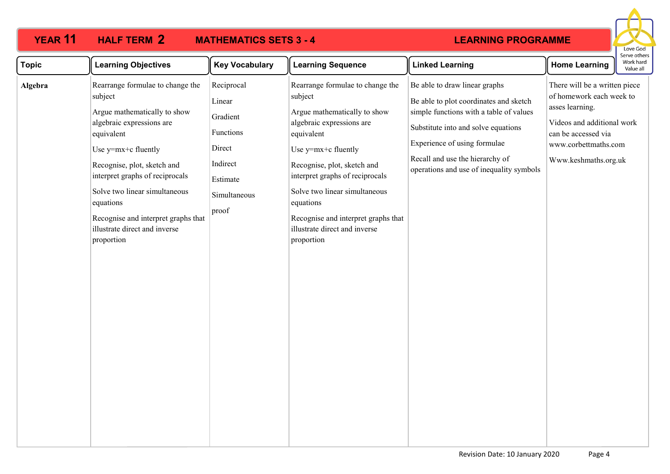#### **YEAR 11 HALF TERM MATHEMATICS SETS 3 - 4 HALF TERM 2**

### **LEARNING PROGRAMME**



| <b>Topic</b> | <b>Learning Objectives</b>                                                                                                                                                                                                                                                                                                                          | <b>Key Vocabulary</b>                                                                                    | <b>Learning Sequence</b>                                                                                                                                                                                                                                                                                                                            | <b>Linked Learning</b>                                                                                                                                                                                                                                                   | <b>Home Learning</b>                                                                                                                                                              | Work hard<br>Value all |
|--------------|-----------------------------------------------------------------------------------------------------------------------------------------------------------------------------------------------------------------------------------------------------------------------------------------------------------------------------------------------------|----------------------------------------------------------------------------------------------------------|-----------------------------------------------------------------------------------------------------------------------------------------------------------------------------------------------------------------------------------------------------------------------------------------------------------------------------------------------------|--------------------------------------------------------------------------------------------------------------------------------------------------------------------------------------------------------------------------------------------------------------------------|-----------------------------------------------------------------------------------------------------------------------------------------------------------------------------------|------------------------|
| Algebra      | Rearrange formulae to change the<br>subject<br>Argue mathematically to show<br>algebraic expressions are<br>equivalent<br>Use y=mx+c fluently<br>Recognise, plot, sketch and<br>interpret graphs of reciprocals<br>Solve two linear simultaneous<br>equations<br>Recognise and interpret graphs that<br>illustrate direct and inverse<br>proportion | Reciprocal<br>Linear<br>Gradient<br>Functions<br>Direct<br>Indirect<br>Estimate<br>Simultaneous<br>proof | Rearrange formulae to change the<br>subject<br>Argue mathematically to show<br>algebraic expressions are<br>equivalent<br>Use y=mx+c fluently<br>Recognise, plot, sketch and<br>interpret graphs of reciprocals<br>Solve two linear simultaneous<br>equations<br>Recognise and interpret graphs that<br>illustrate direct and inverse<br>proportion | Be able to draw linear graphs<br>Be able to plot coordinates and sketch<br>simple functions with a table of values<br>Substitute into and solve equations<br>Experience of using formulae<br>Recall and use the hierarchy of<br>operations and use of inequality symbols | There will be a written piece<br>of homework each week to<br>asses learning.<br>Videos and additional work<br>can be accessed via<br>www.corbettmaths.com<br>Www.keshmaths.org.uk |                        |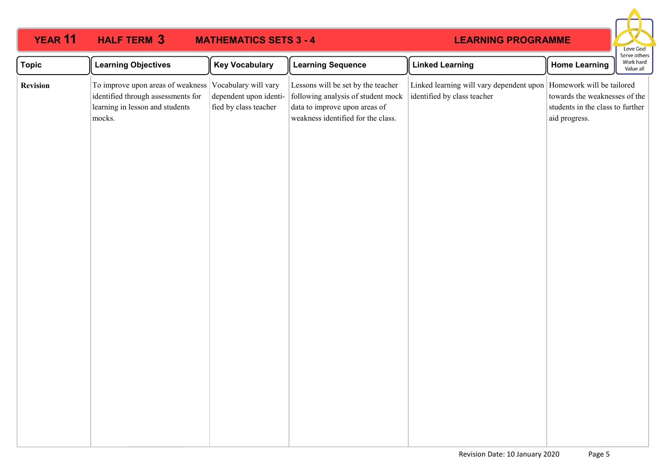| <b>YEAR 11</b>  | <b>HALF TERM 3</b>                                                                                                                        | <b>MATHEMATICS SETS 3 - 4</b>                   |                                                                                                                                                 | <b>LEARNING PROGRAMME</b>                                               |                                                                                                                 | Love God                               |
|-----------------|-------------------------------------------------------------------------------------------------------------------------------------------|-------------------------------------------------|-------------------------------------------------------------------------------------------------------------------------------------------------|-------------------------------------------------------------------------|-----------------------------------------------------------------------------------------------------------------|----------------------------------------|
| <b>Topic</b>    | <b>Learning Objectives</b>                                                                                                                | <b>Key Vocabulary</b>                           | <b>Learning Sequence</b>                                                                                                                        | <b>Linked Learning</b>                                                  | <b>Home Learning</b>                                                                                            | Serve others<br>Work hard<br>Value all |
| <b>Revision</b> | To improve upon areas of weakness Vocabulary will vary<br>identified through assessments for<br>learning in lesson and students<br>mocks. | dependent upon identi-<br>fied by class teacher | Lessons will be set by the teacher<br>following analysis of student mock<br>data to improve upon areas of<br>weakness identified for the class. | Linked learning will vary dependent upon<br>identified by class teacher | Homework will be tailored<br>towards the weaknesses of the<br>students in the class to further<br>aid progress. |                                        |
|                 |                                                                                                                                           |                                                 |                                                                                                                                                 |                                                                         |                                                                                                                 |                                        |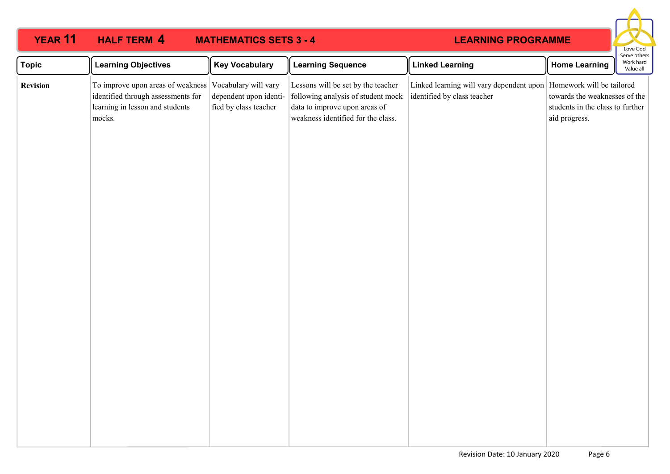| YEAR 11         | <b>HALF TERM 4</b>                                                                                                   | <b>MATHEMATICS SETS 3 - 4</b>                                           |                                                                                                                                                 | <b>LEARNING PROGRAMME</b>                                                                           |                                                                                    | Love God                               |
|-----------------|----------------------------------------------------------------------------------------------------------------------|-------------------------------------------------------------------------|-------------------------------------------------------------------------------------------------------------------------------------------------|-----------------------------------------------------------------------------------------------------|------------------------------------------------------------------------------------|----------------------------------------|
| <b>Topic</b>    | <b>Learning Objectives</b>                                                                                           | <b>Key Vocabulary</b>                                                   | <b>Learning Sequence</b>                                                                                                                        | <b>Linked Learning</b>                                                                              | <b>Home Learning</b>                                                               | Serve others<br>Work hard<br>Value all |
| <b>Revision</b> | To improve upon areas of weakness<br>identified through assessments for<br>learning in lesson and students<br>mocks. | Vocabulary will vary<br>dependent upon identi-<br>fied by class teacher | Lessons will be set by the teacher<br>following analysis of student mock<br>data to improve upon areas of<br>weakness identified for the class. | Linked learning will vary dependent upon   Homework will be tailored<br>identified by class teacher | towards the weaknesses of the<br>students in the class to further<br>aid progress. |                                        |
|                 |                                                                                                                      |                                                                         |                                                                                                                                                 |                                                                                                     |                                                                                    |                                        |
|                 |                                                                                                                      |                                                                         |                                                                                                                                                 |                                                                                                     |                                                                                    |                                        |
|                 |                                                                                                                      |                                                                         |                                                                                                                                                 |                                                                                                     |                                                                                    |                                        |
|                 |                                                                                                                      |                                                                         |                                                                                                                                                 |                                                                                                     |                                                                                    |                                        |
|                 |                                                                                                                      |                                                                         |                                                                                                                                                 |                                                                                                     |                                                                                    |                                        |